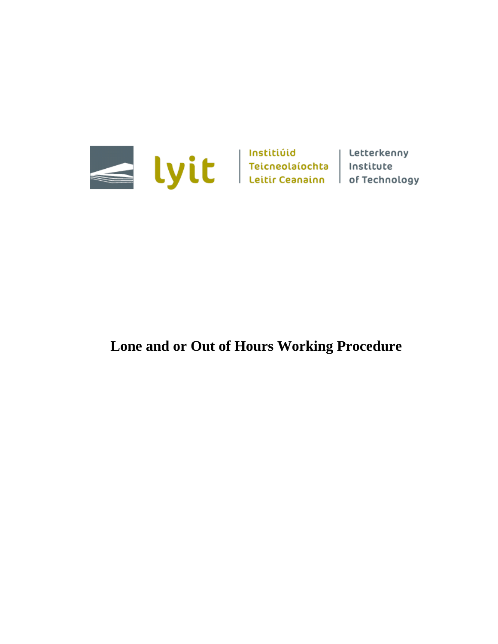

# **Lone and or Out of Hours Working Procedure**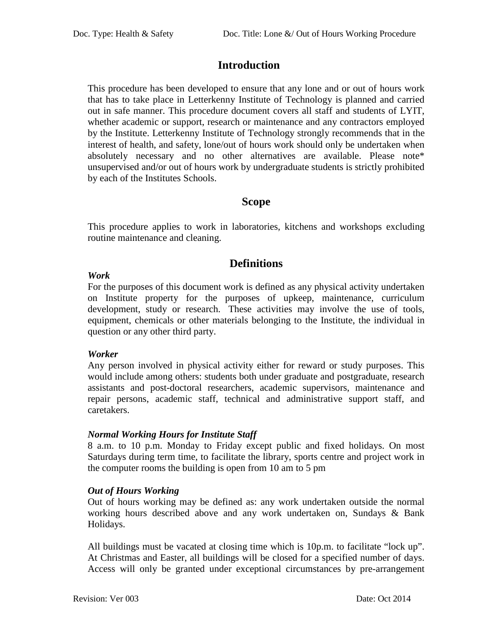## **Introduction**

This procedure has been developed to ensure that any lone and or out of hours work that has to take place in Letterkenny Institute of Technology is planned and carried out in safe manner. This procedure document covers all staff and students of LYIT, whether academic or support, research or maintenance and any contractors employed by the Institute. Letterkenny Institute of Technology strongly recommends that in the interest of health, and safety, lone/out of hours work should only be undertaken when absolutely necessary and no other alternatives are available. Please note\* unsupervised and/or out of hours work by undergraduate students is strictly prohibited by each of the Institutes Schools.

## **Scope**

This procedure applies to work in laboratories, kitchens and workshops excluding routine maintenance and cleaning.

## **Definitions**

#### *Work*

For the purposes of this document work is defined as any physical activity undertaken on Institute property for the purposes of upkeep, maintenance, curriculum development, study or research. These activities may involve the use of tools, equipment, chemicals or other materials belonging to the Institute, the individual in question or any other third party.

#### *Worker*

Any person involved in physical activity either for reward or study purposes. This would include among others: students both under graduate and postgraduate, research assistants and post-doctoral researchers, academic supervisors, maintenance and repair persons, academic staff, technical and administrative support staff, and caretakers.

#### *Normal Working Hours for Institute Staff*

8 a.m. to 10 p.m. Monday to Friday except public and fixed holidays. On most Saturdays during term time, to facilitate the library, sports centre and project work in the computer rooms the building is open from 10 am to 5 pm

### *Out of Hours Working*

Out of hours working may be defined as: any work undertaken outside the normal working hours described above and any work undertaken on, Sundays & Bank Holidays.

All buildings must be vacated at closing time which is 10p.m. to facilitate "lock up". At Christmas and Easter, all buildings will be closed for a specified number of days. Access will only be granted under exceptional circumstances by pre-arrangement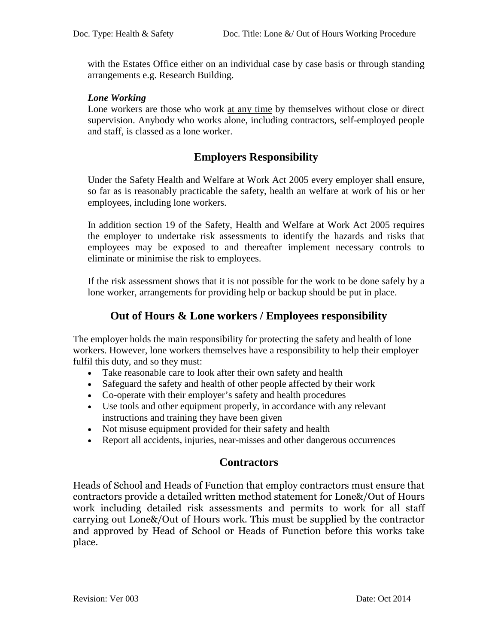with the Estates Office either on an individual case by case basis or through standing arrangements e.g. Research Building.

#### *Lone Working*

Lone workers are those who work at any time by themselves without close or direct supervision. Anybody who works alone, including contractors, self-employed people and staff, is classed as a lone worker.

## **Employers Responsibility**

Under the Safety Health and Welfare at Work Act 2005 every employer shall ensure, so far as is reasonably practicable the safety, health an welfare at work of his or her employees, including lone workers.

In addition section 19 of the Safety, Health and Welfare at Work Act 2005 requires the employer to undertake risk assessments to identify the hazards and risks that employees may be exposed to and thereafter implement necessary controls to eliminate or minimise the risk to employees.

If the risk assessment shows that it is not possible for the work to be done safely by a lone worker, arrangements for providing help or backup should be put in place.

## **Out of Hours & Lone workers / Employees responsibility**

The employer holds the main responsibility for protecting the safety and health of lone workers. However, lone workers themselves have a responsibility to help their employer fulfil this duty, and so they must:

- Take reasonable care to look after their own safety and health
- Safeguard the safety and health of other people affected by their work
- Co-operate with their employer's safety and health procedures
- Use tools and other equipment properly, in accordance with any relevant instructions and training they have been given
- Not misuse equipment provided for their safety and health
- Report all accidents, injuries, near-misses and other dangerous occurrences

## **Contractors**

Heads of School and Heads of Function that employ contractors must ensure that contractors provide a detailed written method statement for Lone&/Out of Hours work including detailed risk assessments and permits to work for all staff carrying out Lone&/Out of Hours work. This must be supplied by the contractor and approved by Head of School or Heads of Function before this works take place.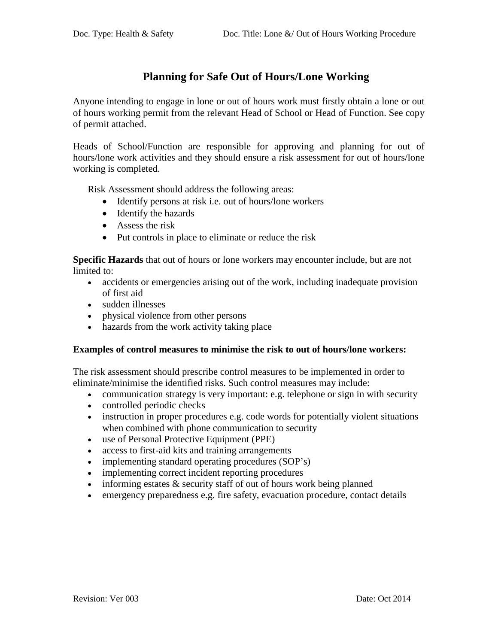## **Planning for Safe Out of Hours/Lone Working**

Anyone intending to engage in lone or out of hours work must firstly obtain a lone or out of hours working permit from the relevant Head of School or Head of Function. See copy of permit attached.

Heads of School/Function are responsible for approving and planning for out of hours/lone work activities and they should ensure a risk assessment for out of hours/lone working is completed.

Risk Assessment should address the following areas:

- Identify persons at risk i.e. out of hours/lone workers
- Identify the hazards
- Assess the risk
- Put controls in place to eliminate or reduce the risk

**Specific Hazards** that out of hours or lone workers may encounter include, but are not limited to:

- accidents or emergencies arising out of the work, including inadequate provision of first aid
- sudden illnesses
- physical violence from other persons
- hazards from the work activity taking place

#### **Examples of control measures to minimise the risk to out of hours/lone workers:**

The risk assessment should prescribe control measures to be implemented in order to eliminate/minimise the identified risks. Such control measures may include:

- communication strategy is very important: e.g. telephone or sign in with security
- controlled periodic checks
- instruction in proper procedures e.g. code words for potentially violent situations when combined with phone communication to security
- use of Personal Protective Equipment (PPE)
- access to first-aid kits and training arrangements
- implementing standard operating procedures (SOP's)
- implementing correct incident reporting procedures
- $\bullet$  informing estates  $\&$  security staff of out of hours work being planned
- emergency preparedness e.g. fire safety, evacuation procedure, contact details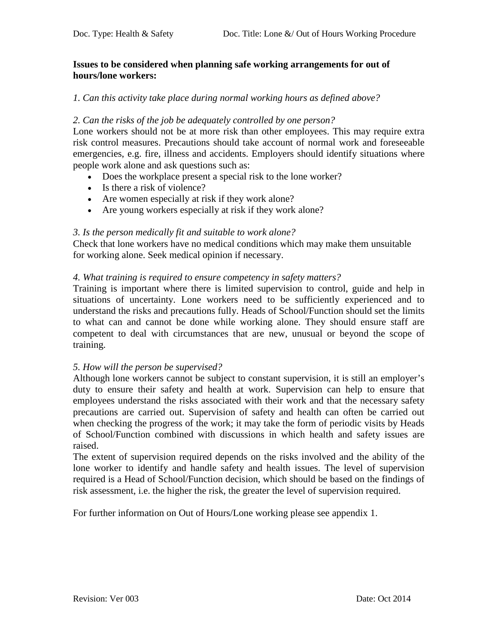#### **Issues to be considered when planning safe working arrangements for out of hours/lone workers:**

#### *1. Can this activity take place during normal working hours as defined above?*

#### *2. Can the risks of the job be adequately controlled by one person?*

Lone workers should not be at more risk than other employees. This may require extra risk control measures. Precautions should take account of normal work and foreseeable emergencies, e.g. fire, illness and accidents. Employers should identify situations where people work alone and ask questions such as:

- Does the workplace present a special risk to the lone worker?
- Is there a risk of violence?
- Are women especially at risk if they work alone?
- Are young workers especially at risk if they work alone?

#### *3. Is the person medically fit and suitable to work alone?*

Check that lone workers have no medical conditions which may make them unsuitable for working alone. Seek medical opinion if necessary.

#### *4. What training is required to ensure competency in safety matters?*

Training is important where there is limited supervision to control, guide and help in situations of uncertainty. Lone workers need to be sufficiently experienced and to understand the risks and precautions fully. Heads of School/Function should set the limits to what can and cannot be done while working alone. They should ensure staff are competent to deal with circumstances that are new, unusual or beyond the scope of training.

#### *5. How will the person be supervised?*

Although lone workers cannot be subject to constant supervision, it is still an employer's duty to ensure their safety and health at work. Supervision can help to ensure that employees understand the risks associated with their work and that the necessary safety precautions are carried out. Supervision of safety and health can often be carried out when checking the progress of the work; it may take the form of periodic visits by Heads of School/Function combined with discussions in which health and safety issues are raised.

The extent of supervision required depends on the risks involved and the ability of the lone worker to identify and handle safety and health issues. The level of supervision required is a Head of School/Function decision, which should be based on the findings of risk assessment, i.e. the higher the risk, the greater the level of supervision required.

For further information on Out of Hours/Lone working please see appendix 1.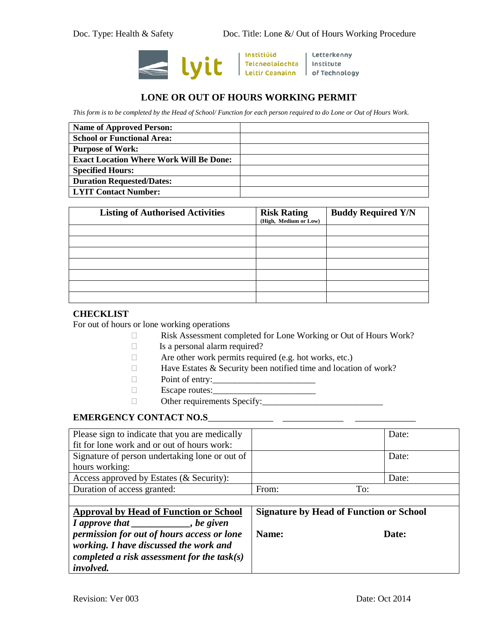

Institiúid

| Letterkenny

#### **LONE OR OUT OF HOURS WORKING PERMIT**

*This form is to be completed by the Head of School/ Function for each person required to do Lone or Out of Hours Work.*

| <b>Name of Approved Person:</b>                |  |
|------------------------------------------------|--|
| <b>School or Functional Area:</b>              |  |
| <b>Purpose of Work:</b>                        |  |
| <b>Exact Location Where Work Will Be Done:</b> |  |
| <b>Specified Hours:</b>                        |  |
| <b>Duration Requested/Dates:</b>               |  |
| <b>LYIT Contact Number:</b>                    |  |

| <b>Listing of Authorised Activities</b> | <b>Risk Rating</b><br>(High, Medium or Low) | <b>Buddy Required Y/N</b> |
|-----------------------------------------|---------------------------------------------|---------------------------|
|                                         |                                             |                           |
|                                         |                                             |                           |
|                                         |                                             |                           |
|                                         |                                             |                           |
|                                         |                                             |                           |
|                                         |                                             |                           |
|                                         |                                             |                           |

#### **CHECKLIST**

For out of hours or lone working operations

- Risk Assessment completed for Lone Working or Out of Hours Work?
- $\Box$  Is a personal alarm required?
- Are other work permits required (e.g. hot works, etc.)
- $\Box$  Have Estates & Security been notified time and location of work?
- $\Box$  Point of entry: $\Box$
- Escape routes:\_\_\_\_\_\_\_\_\_\_\_\_\_\_\_\_\_\_\_\_\_\_\_
- Other requirements Specify:\_\_\_\_\_\_\_\_\_\_\_\_\_\_\_\_\_\_\_\_\_\_\_\_\_\_\_

#### **EMERGENCY CONTACT NO.S**\_\_\_\_\_\_\_\_\_\_\_\_\_\_ \_\_\_\_\_\_\_\_\_\_\_\_\_ \_\_\_\_\_\_\_\_\_\_\_\_\_

| Please sign to indicate that you are medically |                                                | Date: |  |
|------------------------------------------------|------------------------------------------------|-------|--|
| fit for lone work and or out of hours work:    |                                                |       |  |
| Signature of person undertaking lone or out of |                                                | Date: |  |
| hours working:                                 |                                                |       |  |
| Access approved by Estates (& Security):       |                                                | Date: |  |
| Duration of access granted:                    | From:                                          | To:   |  |
|                                                |                                                |       |  |
| <b>Approval by Head of Function or School</b>  | <b>Signature by Head of Function or School</b> |       |  |
| I approve that _________, be given             |                                                |       |  |
| permission for out of hours access or lone     | Name:                                          | Date: |  |
| working. I have discussed the work and         |                                                |       |  |
| completed a risk assessment for the task(s)    |                                                |       |  |
| involved.                                      |                                                |       |  |